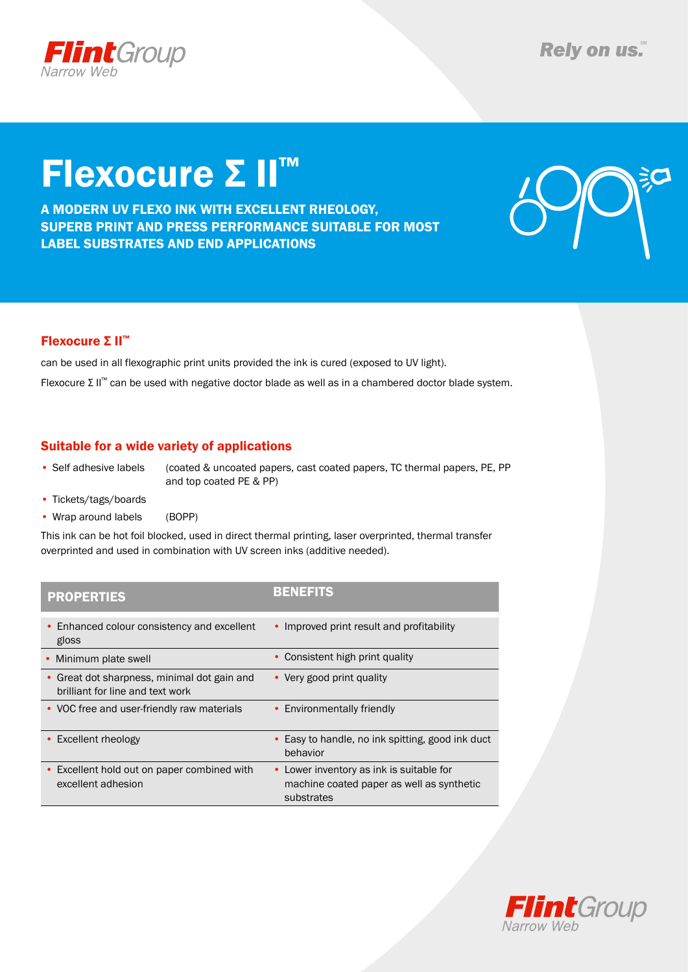

# Flexocure Σ II™

A modern uv flexo ink with excellent rheology, superb print and press performance suitable for most label substrates and end applications



### Flexocure Σ II™

can be used in all flexographic print units provided the ink is cured (exposed to UV light). Flexocure Σ II™ can be used with negative doctor blade as well as in a chambered doctor blade system.

### Suitable for a wide variety of applications

• Self adhesive labels (coated & uncoated papers, cast coated papers, TC thermal papers, PE, PP and top coated PE & PP)

- Tickets/tags/boards
- Wrap around labels (BOPP)

This ink can be hot foil blocked, used in direct thermal printing, laser overprinted, thermal transfer overprinted and used in combination with UV screen inks (additive needed).

| <b>PROPERTIES</b>                                                             | <b>BENEFITS</b>                                                                                     |
|-------------------------------------------------------------------------------|-----------------------------------------------------------------------------------------------------|
| Enhanced colour consistency and excellent<br>$\bullet$<br>gloss               | • Improved print result and profitability                                                           |
| Minimum plate swell                                                           | Consistent high print quality                                                                       |
| Great dot sharpness, minimal dot gain and<br>brilliant for line and text work | • Very good print quality                                                                           |
| • VOC free and user-friendly raw materials                                    | • Environmentally friendly                                                                          |
| • Excellent rheology                                                          | Easy to handle, no ink spitting, good ink duct<br>behavior                                          |
| • Excellent hold out on paper combined with<br>excellent adhesion             | • Lower inventory as ink is suitable for<br>machine coated paper as well as synthetic<br>substrates |